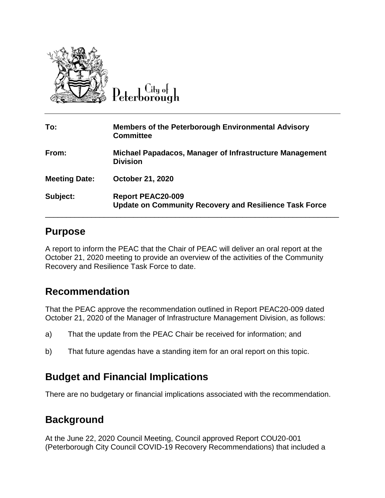

City of

| To:                  | <b>Members of the Peterborough Environmental Advisory</b><br><b>Committee</b>             |
|----------------------|-------------------------------------------------------------------------------------------|
| From:                | Michael Papadacos, Manager of Infrastructure Management<br><b>Division</b>                |
| <b>Meeting Date:</b> | <b>October 21, 2020</b>                                                                   |
| Subject:             | <b>Report PEAC20-009</b><br><b>Update on Community Recovery and Resilience Task Force</b> |

## **Purpose**

A report to inform the PEAC that the Chair of PEAC will deliver an oral report at the October 21, 2020 meeting to provide an overview of the activities of the Community Recovery and Resilience Task Force to date.

## **Recommendation**

That the PEAC approve the recommendation outlined in Report PEAC20-009 dated October 21, 2020 of the Manager of Infrastructure Management Division, as follows:

- a) That the update from the PEAC Chair be received for information; and
- b) That future agendas have a standing item for an oral report on this topic.

## **Budget and Financial Implications**

There are no budgetary or financial implications associated with the recommendation.

## **Background**

At the June 22, 2020 Council Meeting, Council approved Report COU20-001 (Peterborough City Council COVID-19 Recovery Recommendations) that included a